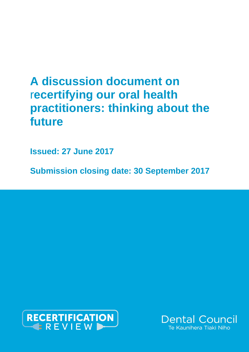# **A discussion document on** r**ecertifying our oral health practitioners: thinking about the future**

**Issued: 27 June 2017**

**Submission closing date: 30 September 2017**



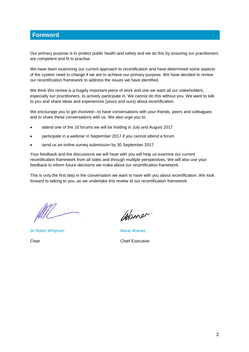# **Foreword**

Our primary purpose is to protect public health and safety and we do this by ensuring our practitioners are competent and fit to practise.

We have been examining our current approach to recertification and have determined some aspects of the system need to change if we are to achieve our primary purpose. We have decided to review our recertification framework to address the issues we have identified.

We think this review is a hugely important piece of work and one we want all our stakeholders, especially our practitioners, to actively participate in. We cannot do this without you. We want to talk to you and share ideas and experiences (yours and ours) about recertification.

We encourage you to get involved—to have conversations with your friends, peers and colleagues and to share these conversations with us. We also urge you to:

- attend one of the 10 forums we will be holding in July and August 2017
- participate in a webinar in September 2017 if you cannot attend a forum
- send us an online survey submission by 30 September 2017.

Your feedback and the discussions we will have with you will help us examine our current recertification framework from all sides and through multiple perspectives. We will also use your feedback to inform future decisions we make about our recertification framework.

This is only the first step in the conversation we want to have with you about recertification. We look forward to talking to you, as we undertake this review of our recertification framework.

Dr Robin Whyman Marie Warner

Waner.

Chair Chief Executive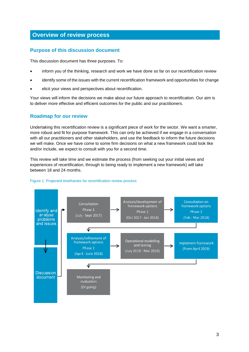# **Overview of review process**

### **Purpose of this discussion document**

This discussion document has three purposes. To:

- inform you of the thinking, research and work we have done so far on our recertification review
- identify some of the issues with the current recertification framework and opportunities for change
- elicit your views and perspectives about recertification.

Your views will inform the decisions we make about our future approach to recertification. Our aim is to deliver more effective and efficient outcomes for the public and our practitioners.

### **Roadmap for our review**

Undertaking this recertification review is a significant piece of work for the sector. We want a smarter, more robust and fit for purpose framework. This can only be achieved if we engage in a conversation with all our practitioners and other stakeholders, and use the feedback to inform the future decisions we will make. Once we have come to some firm decisions on what a new framework could look like and/or include, we expect to consult with you for a second time.

This review will take time and we estimate the process (from seeking out your initial views and experiences of recertification, through to being ready to implement a new framework) will take between 18 and 24 months.



#### Figure 1: Projected timeframes for recertification review process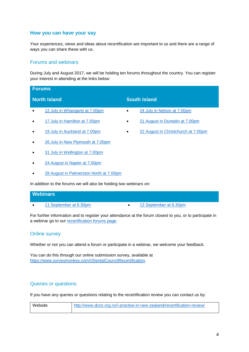### **How you can have your say**

Your experiences, views and ideas about recertification are important to us and there are a range of ways you can share these with us.

### Forums and webinars

During July and August 2017, we will be holding ten forums throughout the country. You can register your interest in attending at the links below:

| <b>Forums</b>                                                      |                                          |  |
|--------------------------------------------------------------------|------------------------------------------|--|
| <b>North Island</b>                                                | <b>South Island</b>                      |  |
| 12 July in Whangarei at 7.00pm<br>$\bullet$                        | 24 July in Nelson at 7.00pm<br>$\bullet$ |  |
| 17 July in Hamilton at 7.00pm<br>٠                                 | 21 August in Dunedin at 7.00pm<br>٠      |  |
| 19 July in Auckland at 7.00pm                                      | 22 August in Christchurch at 7.00pm<br>٠ |  |
| 26 July in New Plymouth at 7.00pm<br>٠                             |                                          |  |
| 31 July in Wellington at 7.00pm                                    |                                          |  |
| 24 August in Napier at 7.00pm<br>٠                                 |                                          |  |
| 28 August in Palmerston North at 7.00pm                            |                                          |  |
| In addition to the forums we will also be holding two webinars on: |                                          |  |

### **Webinars**

[11 September at 6.30pm](https://www.eventbrite.co.nz/e/webinar-consultation-on-recertification-tickets-35552065184) [13 September at 6.30pm](https://www.eventbrite.co.nz/e/webinar-consultation-on-recertification-tickets-35552231682)

For further information and to register your attendance at the forum closest to you, or to participate in a webinar go to our [recertification forums page.](http://www.dcnz.org.nz/i-practise-in-new-zealand/recertification-review/f/)

### Online survey

Whether or not you can attend a forum or participate in a webinar, we welcome your feedback.

You can do this through our online submission survey, available at [https://www.surveymonkey.com/r/DentalCouncilRecertification.](https://www.surveymonkey.com/r/DentalCouncilRecertification)

### Queries or questions

If you have any queries or questions relating to the recertification review you can contact us by:

| Website | http://www.dcnz.org.nz/i-practise-in-new-zealand/recertification-review/ |  |
|---------|--------------------------------------------------------------------------|--|
|         |                                                                          |  |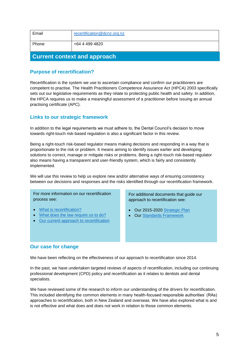| Email                               | recertification@dcnz.org.nz |  |
|-------------------------------------|-----------------------------|--|
| Phone                               | +64 4 499 4820              |  |
| <b>Current context and approach</b> |                             |  |

### **Purpose of recertification?**

Recertification is the system we use to ascertain compliance and confirm our practitioners are competent to practise. The Health Practitioners Competence Assurance Act (HPCA) 2003 specifically sets out our legislative requirements as they relate to protecting public health and safety. In addition, the HPCA requires us to make a meaningful assessment of a practitioner before issuing an annual practising certificate (APC).

### **Links to our strategic framework**

In addition to the legal requirements we must adhere to, the Dental Council's decision to move towards right-touch risk-based regulation is also a significant factor in this review.

Being a right-touch risk-based regulator means making decisions and responding in a way that is proportionate to the risk or problem. It means aiming to identify issues earlier and developing solutions to correct, manage or mitigate risks or problems. Being a right-touch risk-based regulator also means having a transparent and user-friendly system, which is fairly and consistently implemented.

We will use this review to help us explore new and/or alternative ways of ensuring consistency between our decisions and responses and the risks identified through our recertification framework.

For more information on our recertification process see:

- [What is recertification?](http://www.dcnz.org.nz/assets/Uploads/Recertification-review/June-2017-Discussion-doc-What-is-recertification.pdf)
- [What does the law require us to do?](http://www.dcnz.org.nz/assets/Uploads/Recertification-review/June-2017-Discussion-doc-What-does-the-law-require-us-to-do.pdf)
- [Our current approach to recertification](http://www.dcnz.org.nz/assets/Uploads/Recertification-review/June-2017-Discussion-doc-Our-current-approach-to-recertification.pdf)

For additional documents that guide our approach to recertification see:

- Our 2015-2020 [Strategic Plan](http://www.dcnz.org.nz/resources-and-publications/publications/strategic-plan/)
- Our [Standards Framework](http://www.dcnz.org.nz/i-practise-in-new-zealand/standards-framework/)

#### **Our case for change**

We have been reflecting on the effectiveness of our approach to recertification since 2014.

In the past, we have undertaken targeted reviews of aspects of recertification, including our continuing professional development (CPD) policy and recertification as it relates to dentists and dental specialists.

We have reviewed some of the research to inform our understanding of the drivers for recertification. This included identifying the common elements in many health-focused responsible authorities' (RAs) approaches to recertification, both in New Zealand and overseas. We have also explored what is and is not effective and what does and does not work in relation to those common elements.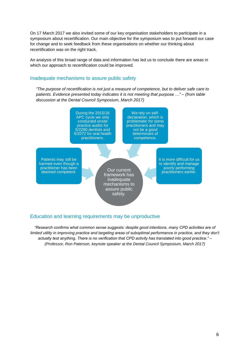On 17 March 2017 we also invited some of our key organisation stakeholders to participate in a symposium about recertification. Our main objective for the symposium was to put forward our case for change and to seek feedback from these organisations on whether our thinking about recertification was on the right track.

An analysis of this broad range of data and information has led us to conclude there are areas in which our approach to recertification could be improved.

#### Inadequate mechanisms to assure public safety

*"The purpose of recertification is not just a measure of competence, but to deliver safe care to patients. Evidence presented today indicates it is not meeting that purpose …" – (from table discussion at the Dental Council Symposium, March 2017)*



### Education and learning requirements may be unproductive

*"Research confirms what common sense suggests: despite good intentions, many CPD activities are of limited utility in improving practice and targeting areas of suboptimal performance in practice, and they don't actually test anything. There is no verification that CPD activity has translated into good practice." – (Professor, Ron Paterson, keynote speaker at the Dental Council Symposium, March 2017)*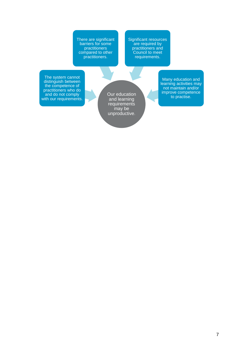There are significant barriers for some practitioners compared to other practitioners.

Significant resources are required by practitioners and Council to meet requirements.

The system cannot distinguish between the competence of practitioners who do and do not comply with our requirements.

Our education and learning requirements may be unproductive.

Many education and learning activities may not maintain and/or improve competence to practise.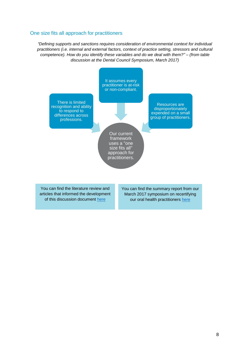### One size fits all approach for practitioners

*"Defining supports and sanctions requires consideration of environmental context for individual practitioners (i.e. internal and external factors, context of practice setting, stressors and cultural competence). How do you identify these variables and do we deal with them?" – (from table discussion at the Dental Council Symposium, March 2017)*



You can find the literature review and articles that informed the development of this discussion document [here](http://www.dcnz.org.nz/assets/Uploads/Recertification-review/Dental-Council-literature-review-recertification-March-2017.pdf)

You can find the summary report from our March 2017 symposium on recertifying our oral health practitioners [here](http://www.dcnz.org.nz/assets/Uploads/Recertification-review/FINAL-Summary-report-on-symposium.pdf)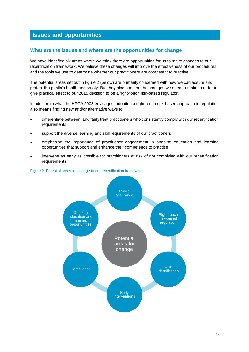# **Issues and opportunities**

### **What are the issues and where are the opportunities for change**

We have identified six areas where we think there are opportunities for us to make changes to our recertification framework. We believe these changes will improve the effectiveness of our procedures and the tools we use to determine whether our practitioners are competent to practise.

The potential areas set out in figure 2 (below) are primarily concerned with how we can assure and protect the public's health and safety. But they also concern the changes we need to make in order to give practical effect to our 2015 decision to be a right-touch risk-based regulator.

In addition to what the HPCA 2003 envisages, adopting a right-touch risk-based approach to regulation also means finding new and/or alternative ways to:

- differentiate between, and fairly treat practitioners who consistently comply with our recertification requirements
- support the diverse learning and skill requirements of our practitioners
- emphasise the importance of practitioner engagement in ongoing education and learning opportunities that support and enhance their competence to practise
- intervene as early as possible for practitioners at risk of not complying with our recertification requirements.



#### Figure 2: Potential areas for change to our recertification framework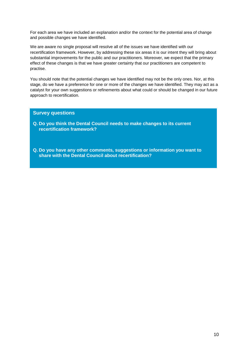For each area we have included an explanation and/or the context for the potential area of change and possible changes we have identified.

We are aware no single proposal will resolve all of the issues we have identified with our recertification framework. However, by addressing these six areas it is our intent they will bring about substantial improvements for the public and our practitioners. Moreover, we expect that the primary effect of these changes is that we have greater certainty that our practitioners are competent to practise.

You should note that the potential changes we have identified may not be the only ones. Nor, at this stage, do we have a preference for one or more of the changes we have identified. They may act as a catalyst for your own suggestions or refinements about what could or should be changed in our future approach to recertification.

### **Survey questions**

- **Q. Do you think the Dental Council needs to make changes to its current recertification framework?**
- **Q. Do you have any other comments, suggestions or information you want to share with the Dental Council about recertification?**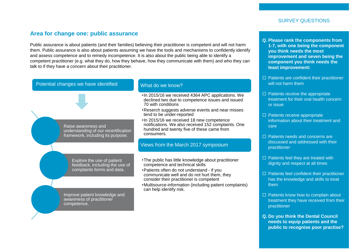### **Area for change one: public assurance**

Public assurance is about patients (and their families) believing their practitioner is competent and will not harm them. Public assurance is also about patients assuming we have the tools and mechanisms to confidently identify and assess competence and to remedy incompetence. It is also about the public being able to identify a competent practitioner (e.g. what they do, how they behave, how they communicate with them) and who they can talk to if they have a concern about their practitioner.



#### **Q. Please rank the components from 1-7, with one being the component you think needs the most improvement and seven being the component you think needs the least improvement:**

- $\Box$  Patients are confident their practitioner will not harm them
- $\Box$  Patients receive the appropriate treatment for their oral health concern or issue
- $\Box$  Patients receive appropriate information about their treatment and care
- □ Patients needs and concerns are discussed and addressed with their practitioner
- $\Box$  Patients feel they are treated with dignity and respect at all times
- $\Box$  Patients feel confident their practitioner has the knowledge and skills to treat them
- $\Box$  Patients know how to complain about treatment they have received from their practitioner
- **Q. Do you think the Dental Council needs to equip patients and the public to recognise poor practise?**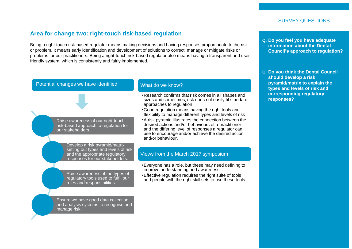# **Area for change two: right-touch risk-based regulation**

Being a right-touch risk-based regulator means making decisions and having responses proportionate to the risk or problem. It means early identification and development of solutions to correct, manage or mitigate risks or problems for our practitioners. Being a right-touch risk-based regulator also means having a transparent and userfriendly system; which is consistently and fairly implemented.

### Potential changes we have identified

Raise awareness of our right-touch risk-based approach to regulation for our stakeholders.

> Develop a risk pyramid/matrix setting out types and levels of risk and the appropriate regulatory responses for our stakeholders.

Raise awareness of the types of regulatory tools used to fulfil our roles and responsibilities.

Ensure we have good data collection and analysis systems to recognise and manage risk.

### What do we know?

- •Research confirms that risk comes in all shapes and sizes and sometimes, risk does not easily fit standard approaches to regulation
- •Good regulation means having the right tools and flexibility to manage different types and levels of risk
- •A risk pyramid illustrates the connection between the desired actions and/or behaviours of a practitioner and the differing level of responses a regulator can use to encourage and/or achieve the desired action and/or behaviour.

### Views from the March 2017 symposium

- •Everyone has a role, but these may need defining to improve understanding and awareness
- •Effective regulation requires the right suite of tools and people with the right skill sets to use these tools.

**information about the Dental Council's approach to regulation?**

**Q. Do you feel you have adequate** 

**Q Do you think the Dental Council should develop a risk pyramid/matrix to explain the types and levels of risk and corresponding regulatory responses?**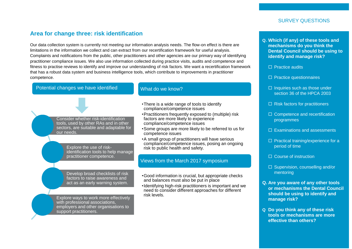### **Area for change three: risk identification**

Our data collection system is currently not meeting our information analysis needs. The flow-on effect is there are limitations in the information we collect and can extract from our recertification framework for useful analysis. Complaints and notifications from the public, other practitioners and other agencies are our primary way of identifying practitioner compliance issues. We also use information collected during practice visits, audits and competence and fitness to practise reviews to identify and improve our understanding of risk factors. We want a recertification framework that has a robust data system and business intelligence tools, which contribute to improvements in practitioner competence.

### Potential changes we have identified

### What do we know?

Consider whether risk-identification tools, used by other RAs and in other sectors, are suitable and adaptable for our needs.

> Explore the use of riskidentification tools to help manage practitioner competence.

Develop broad checklists of risk factors to raise awareness and act as an early warning system.

Explore ways to work more effectively with professional associations, employers and other organisations to support practitioners.

- •There is a wide range of tools to identify compliance/competence issues
- •Practitioners frequently exposed to (multiple) risk factors are more likely to experience compliance/competence issues
- •Some groups are more likely to be referred to us for competence issues
- •A small group of practitioners will have serious compliance/competence issues, posing an ongoing risk to public health and safety.

#### Views from the March 2017 symposium

- •Good information is crucial, but appropriate checks and balances must also be put in place
- •Identifying high-risk practitioners is important and we need to consider different approaches for different risk levels.
- **Q. Which (if any) of these tools and mechanisms do you think the Dental Council should be using to identify and manage risk?**
	- $\Box$  Practice audits
	- $\Box$  Practice questionnaires
	- $\Box$  Inquiries such as those under section 36 of the HPCA 2003
	- $\Box$  Risk factors for practitioners
	- $\Box$  Competence and recertification programmes
	- $\Box$  Examinations and assessments
	- $\square$  Practical training/experience for a period of time
	- □ Course of instruction
	- $\Box$  Supervision, counselling and/or mentoring
- **Q. Are you aware of any other tools or mechanisms the Dental Council should be using to identify and manage risk?**
- **Q Do you think any of these risk tools or mechanisms are more effective than others?**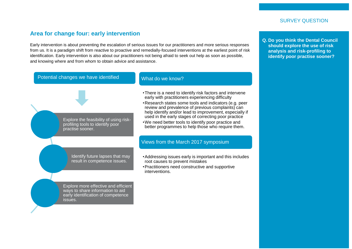### **Area for change four: early intervention**

Early intervention is about preventing the escalation of serious issues for our practitioners and more serious responses from us. It is a paradigm shift from reactive to proactive and remedially-focused interventions at the earliest point of risk identification. Early intervention is also about our practitioners not being afraid to seek out help as soon as possible, and knowing where and from whom to obtain advice and assistance.



### What do we know?

Explore the feasibility of using riskprofiling tools to identify poor practise sooner.

Identify future lapses that may

result in competence issues.

Explore more effective and efficient ways to share information to aid early identification of competence

issues.

•Addressing issues early is important and this includes root causes to prevent mistakes

•There is a need to identify risk factors and intervene early with practitioners experiencing difficulty

•Research states some tools and indicators (e.g. peer review and prevalence of previous complaints) can help identify and/or lead to improvement, especially if used in the early stages of correcting poor practice •We need better tools to identify poor practice and better programmes to help those who require them.

•Practitioners need constructive and supportive interventions.

Views from the March 2017 symposium

**Q. Do you think the Dental Council should explore the use of risk analysis and risk-profiling to identify poor practise sooner?**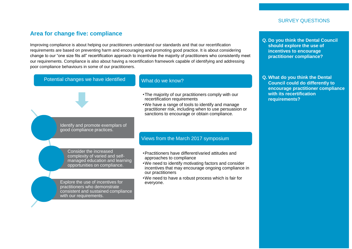### **Area for change five: compliance**

Improving compliance is about helping our practitioners understand our standards and that our recertification requirements are based on preventing harm and encouraging and promoting good practice. It is about considering change to our "one size fits all" recertification approach to incentivise the majority of practitioners who consistently meet our requirements. Compliance is also about having a recertification framework capable of identifying and addressing poor compliance behaviours in some of our practitioners.



- **Q. Do you think the Dental Council should explore the use of incentives to encourage practitioner compliance?**
- **Q. What do you think the Dental Council could do differently to encourage practitioner compliance with its recertification requirements?**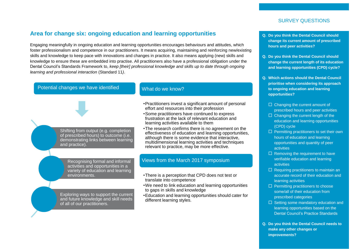# **Area for change six: ongoing education and learning opportunities**

Engaging meaningfully in ongoing education and learning opportunities encourages behaviours and attitudes, which foster professionalism and competence in our practitioners. It means acquiring, maintaining and reinforcing new/existing skills and knowledge to keep pace with innovations and changes in practice. It also means applying (new) skills and knowledge to ensure these are embedded into practise. All practitioners also have a professional obligation under the Dental Council's Standards Framework to, *keep [their] professional knowledge and skills up to date through ongoing learning and professional interaction* (Standard 11*)*.

### Potential changes we have identified

### What do we know?

Shifting from output (e.g. completion of prescribed hours) to outcome (i.e. demonstrating links between learning and practice).

> Recognising formal and informal activities and opportunities in a variety of education and learning environments.

Exploring ways to support the current and future knowledge and skill needs of all of our practitioners.

#### •Practitioners invest a significant amount of personal effort and resources into their profession

- •Some practitioners have continued to express frustration at the lack of relevant education and learning activities available to them
- •The research confirms there is no agreement on the effectiveness of education and learning opportunities, although there is some evidence that interactive, multidimensional learning activities and techniques relevant to practice, may be more effective.

### Views from the March 2017 symposium

- •There is a perception that CPD does not test or translate into competence
- •We need to link education and learning opportunities to gaps in skills and knowledge
- •Education and learning opportunities should cater for different learning styles.
- **Q. Do you think the Dental Council should change its current amount of prescribed hours and peer activities?**
- **Q. Do you think the Dental Council should change the current length of its education and learning opportunities (CPD) cycle?**
- **Q. Which actions should the Dental Council prioritise when considering its approach to ongoing education and learning opportunities?**
	- $\Box$  Changing the current amount of prescribed hours and peer activities
	- $\Box$  Changing the current length of the education and learning opportunities (CPD) cycle
	- $\Box$  Permitting practitioners to set their own hours of education and learning opportunities and quantity of peer activities
	- $\Box$  Removing the requirement to have verifiable education and learning activities
	- $\Box$  Requiring practitioners to maintain an accurate record of their education and learning activities
	- $\Box$  Permitting practitioners to choose some/all of their education from prescribed categories
	- □ Setting some mandatory education and learning opportunities based on the Dental Council's Practice Standards
- **Q. Do you think the Dental Council needs to make any other changes or improvements?**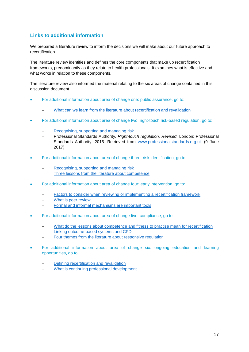### **Links to additional information**

We prepared a literature review to inform the decisions we will make about our future approach to recertification.

The literature review identifies and defines the core components that make up recertification frameworks, predominantly as they relate to health professionals. It examines what is effective and what works in relation to these components.

The literature review also informed the material relating to the six areas of change contained in this discussion document.

- For additional information about area of change one: public assurance, go to:
	- [What can we learn from the literature about recertification and revalidation](http://www.dcnz.org.nz/assets/Uploads/Recertification-review/June-2017-Literature-review-area-of-change-one-public-safety.pdf)
- For additional information about area of change two: right-touch risk-based regulation, go to:
	- [Recognising, supporting and managing risk](http://www.dcnz.org.nz/assets/Uploads/Recertification-review/June-2017-Literature-review-area-of-change-two-risk-based-regulation-recognising-risk.pdf)
	- Professional Standards Authority. *Right-touch regulation. Revised.* London: Professional Standards Authority. 2015. Retrieved from [www.professionalstandards.org.uk](http://www.professionalstandards.org.uk/) (9 June 2017)
- For additional information about area of change three: risk identification, go to:
	- [Recognising, supporting and managing risk](http://www.dcnz.org.nz/assets/Uploads/Recertification-review/June-2017-Literature-review-area-of-change-two-risk-based-regulation-recognising-risk.pdf)
	- [Three lessons from the literature about competence](http://www.dcnz.org.nz/assets/Uploads/Recertification-review/June-2017-Literature-review-area-of-change-three-risk-identification-three-lessons.pdf)
- For additional information about area of change four: early intervention, go to:
	- [Factors to consider when reviewing or implementing a recertification framework](http://www.dcnz.org.nz/assets/Uploads/Recertification-review/June-2017-Literature-review-area-of-change-four-early-intervention-factors-to-consider.pdf)
	- [What is peer review](http://www.dcnz.org.nz/assets/Uploads/Recertification-review/June-2017-Literature-review-area-of-change-four-early-intervention-peer-review.pdf)
	- [Formal and informal mechanisms are important tools](http://www.dcnz.org.nz/assets/Uploads/Recertification-review/June-2017-Literature-review-area-of-change-four-early-intervention-formal-and-informal-tools.pdf)
- For additional information about area of change five: compliance, go to:
	- [What do the lessons about competence and fitness to practise mean for recertification](http://www.dcnz.org.nz/assets/Uploads/Recertification-review/June-2017-Literature-review-area-of-change-five-compliance-competence-lessons.pdf)
	- [Linking outcome-based systems and CPD](http://www.dcnz.org.nz/assets/Uploads/Recertification-review/June-2017-Literature-review-area-of-change-five-compliance-outcome-based-and-CPD.pdf)
	- [Four themes from the literature about responsive regulation](http://www.dcnz.org.nz/assets/Uploads/Recertification-review/June-2017-Literature-review-area-of-change-five-compliance-four-themes-responsive-regulation.pdf)
- For additional information about area of change six: ongoing education and learning opportunities, go to:
	- [Defining recertification and revalidation](http://www.dcnz.org.nz/assets/Uploads/Recertification-review/June-2017-Literature-review-area-of-change-six-education-defining-recertification.pdf)
	- [What is continuing professional development](http://www.dcnz.org.nz/assets/Uploads/Recertification-review/June-2017-Literature-review-area-of-change-six-education-what-is-CPD.pdf)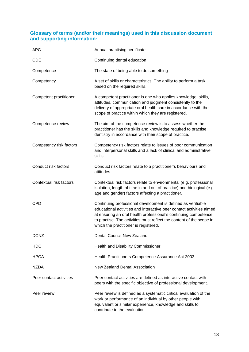### **Glossary of terms (and/or their meanings) used in this discussion document and supporting information:**

| <b>APC</b>              | Annual practising certificate                                                                                                                                                                                                                                                                                            |
|-------------------------|--------------------------------------------------------------------------------------------------------------------------------------------------------------------------------------------------------------------------------------------------------------------------------------------------------------------------|
| <b>CDE</b>              | Continuing dental education                                                                                                                                                                                                                                                                                              |
| Competence              | The state of being able to do something                                                                                                                                                                                                                                                                                  |
| Competency              | A set of skills or characteristics. The ability to perform a task<br>based on the required skills.                                                                                                                                                                                                                       |
| Competent practitioner  | A competent practitioner is one who applies knowledge, skills,<br>attitudes, communication and judgment consistently to the<br>delivery of appropriate oral health care in accordance with the<br>scope of practice within which they are registered.                                                                    |
| Competence review       | The aim of the competence review is to assess whether the<br>practitioner has the skills and knowledge required to practise<br>dentistry in accordance with their scope of practice.                                                                                                                                     |
| Competency risk factors | Competency risk factors relate to issues of poor communication<br>and interpersonal skills and a lack of clinical and administrative<br>skills.                                                                                                                                                                          |
| Conduct risk factors    | Conduct risk factors relate to a practitioner's behaviours and<br>attitudes.                                                                                                                                                                                                                                             |
| Contextual risk factors | Contextual risk factors relate to environmental (e.g. professional<br>isolation, length of time in and out of practice) and biological (e.g.<br>age and gender) factors affecting a practitioner.                                                                                                                        |
| <b>CPD</b>              | Continuing professional development is defined as verifiable<br>educational activities and interactive peer contact activities aimed<br>at ensuring an oral health professional's continuing competence<br>to practise. The activities must reflect the content of the scope in<br>which the practitioner is registered. |
| <b>DCNZ</b>             | <b>Dental Council New Zealand</b>                                                                                                                                                                                                                                                                                        |
| <b>HDC</b>              | Health and Disability Commissioner                                                                                                                                                                                                                                                                                       |
| <b>HPCA</b>             | Health Practitioners Competence Assurance Act 2003                                                                                                                                                                                                                                                                       |
| <b>NZDA</b>             | New Zealand Dental Association                                                                                                                                                                                                                                                                                           |
| Peer contact activities | Peer contact activities are defined as interactive contact with<br>peers with the specific objective of professional development.                                                                                                                                                                                        |
| Peer review             | Peer review is defined as a systematic critical evaluation of the<br>work or performance of an individual by other people with<br>equivalent or similar experience, knowledge and skills to<br>contribute to the evaluation.                                                                                             |